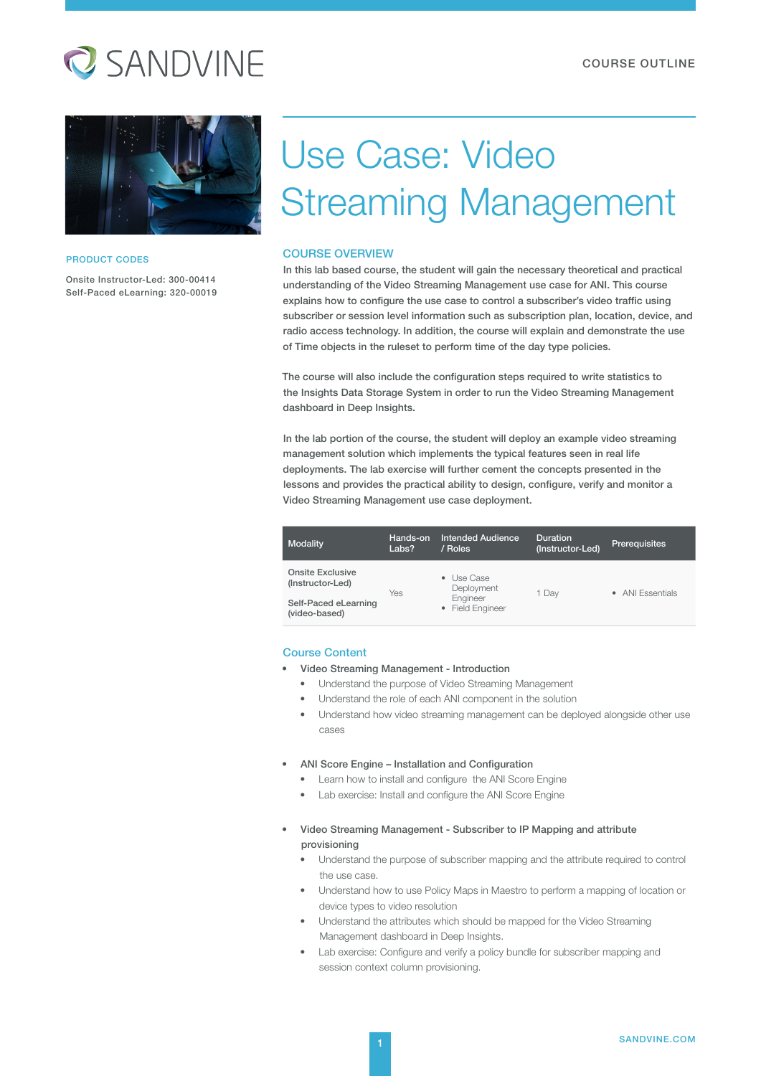## **Q** SANDVINE



#### PRODUCT CODES

Onsite Instructor-Led: 300-00414 Self-Paced eLearning: 320-00019

# Use Case: Video Streaming Management

#### COURSE OVERVIEW

In this lab based course, the student will gain the necessary theoretical and practical understanding of the Video Streaming Management use case for ANI. This course explains how to configure the use case to control a subscriber's video traffic using subscriber or session level information such as subscription plan, location, device, and radio access technology. In addition, the course will explain and demonstrate the use of Time objects in the ruleset to perform time of the day type policies.

The course will also include the configuration steps required to write statistics to the Insights Data Storage System in order to run the Video Streaming Management dashboard in Deep Insights.

In the lab portion of the course, the student will deploy an example video streaming management solution which implements the typical features seen in real life deployments. The lab exercise will further cement the concepts presented in the lessons and provides the practical ability to design, configure, verify and monitor a Video Streaming Management use case deployment.

| Modality                                    | Hands-on<br>Labs? | Intended Audience<br>/ Roles                                                  | <b>Duration</b><br>(Instructor-Led) | <b>Prerequisites</b> |
|---------------------------------------------|-------------------|-------------------------------------------------------------------------------|-------------------------------------|----------------------|
| <b>Onsite Exclusive</b><br>(Instructor-Led) | Yes               | Use Case<br>٠<br>Deployment<br>Engineer<br><b>Field Engineer</b><br>$\bullet$ | 1 Dav                               | • ANI Essentials     |
| Self-Paced eLearning<br>(video-based)       |                   |                                                                               |                                     |                      |

#### Course Content

- Video Streaming Management Introduction
	- Understand the purpose of Video Streaming Management
	- Understand the role of each ANI component in the solution
	- Understand how video streaming management can be deployed alongside other use cases

#### • ANI Score Engine – Installation and Configuration

- Learn how to install and configure the ANI Score Engine
- Lab exercise: Install and configure the ANI Score Engine
- Video Streaming Management Subscriber to IP Mapping and attribute provisioning
	- Understand the purpose of subscriber mapping and the attribute required to control the use case.
	- Understand how to use Policy Maps in Maestro to perform a mapping of location or device types to video resolution
	- Understand the attributes which should be mapped for the Video Streaming Management dashboard in Deep Insights.
	- Lab exercise: Configure and verify a policy bundle for subscriber mapping and session context column provisioning.